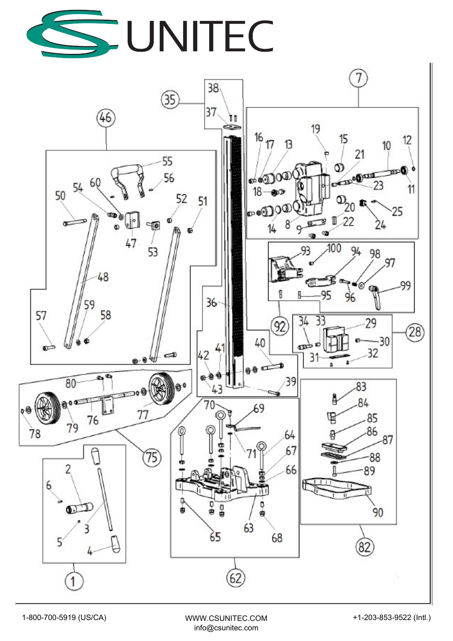